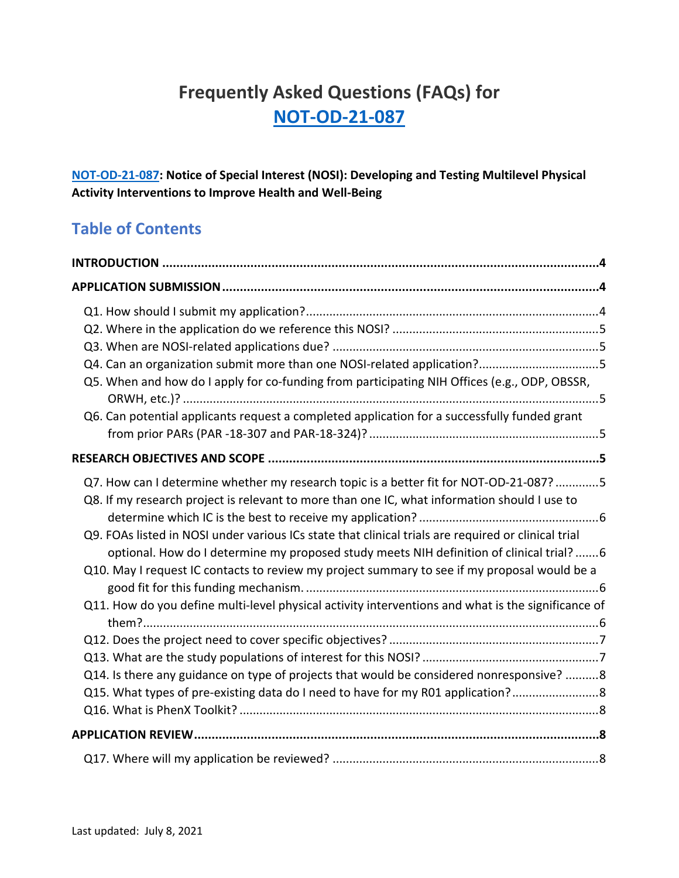# **Frequently Asked Questions (FAQs) for [NOT-OD-21-087](https://grants.nih.gov/grants/guide/notice-files/NOT-OD-21-087.html)**

**[NOT-OD-21-087:](https://grants.nih.gov/grants/guide/notice-files/NOT-OD-21-087.html) Notice of Special Interest (NOSI): Developing and Testing Multilevel Physical Activity Interventions to Improve Health and Well-Being**

# **Table of Contents**

| Q4. Can an organization submit more than one NOSI-related application?5<br>Q5. When and how do I apply for co-funding from participating NIH Offices (e.g., ODP, OBSSR,<br>Q6. Can potential applicants request a completed application for a successfully funded grant                                                                                                                                                                                                                                                                                                                                                                                                                                                                                                        |  |  |
|--------------------------------------------------------------------------------------------------------------------------------------------------------------------------------------------------------------------------------------------------------------------------------------------------------------------------------------------------------------------------------------------------------------------------------------------------------------------------------------------------------------------------------------------------------------------------------------------------------------------------------------------------------------------------------------------------------------------------------------------------------------------------------|--|--|
|                                                                                                                                                                                                                                                                                                                                                                                                                                                                                                                                                                                                                                                                                                                                                                                |  |  |
| Q7. How can I determine whether my research topic is a better fit for NOT-OD-21-087? 5<br>Q8. If my research project is relevant to more than one IC, what information should I use to<br>Q9. FOAs listed in NOSI under various ICs state that clinical trials are required or clinical trial<br>optional. How do I determine my proposed study meets NIH definition of clinical trial?  6<br>Q10. May I request IC contacts to review my project summary to see if my proposal would be a<br>Q11. How do you define multi-level physical activity interventions and what is the significance of<br>Q14. Is there any guidance on type of projects that would be considered nonresponsive? 8<br>Q15. What types of pre-existing data do I need to have for my R01 application? |  |  |
|                                                                                                                                                                                                                                                                                                                                                                                                                                                                                                                                                                                                                                                                                                                                                                                |  |  |
|                                                                                                                                                                                                                                                                                                                                                                                                                                                                                                                                                                                                                                                                                                                                                                                |  |  |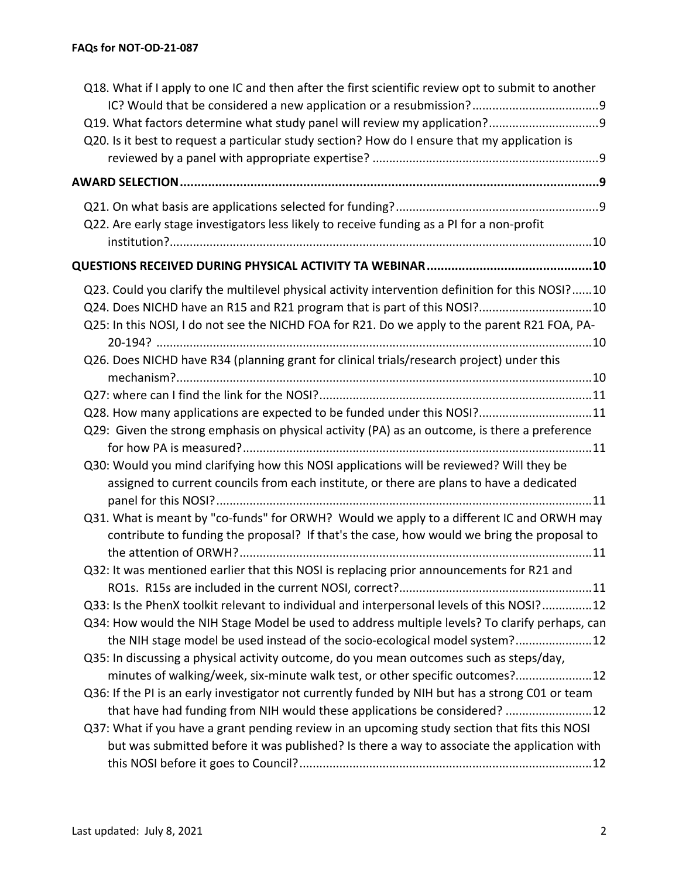| Q18. What if I apply to one IC and then after the first scientific review opt to submit to another                                                                                     |  |
|----------------------------------------------------------------------------------------------------------------------------------------------------------------------------------------|--|
|                                                                                                                                                                                        |  |
| Q20. Is it best to request a particular study section? How do I ensure that my application is                                                                                          |  |
|                                                                                                                                                                                        |  |
|                                                                                                                                                                                        |  |
|                                                                                                                                                                                        |  |
|                                                                                                                                                                                        |  |
| Q22. Are early stage investigators less likely to receive funding as a PI for a non-profit                                                                                             |  |
|                                                                                                                                                                                        |  |
|                                                                                                                                                                                        |  |
| Q23. Could you clarify the multilevel physical activity intervention definition for this NOSI?10                                                                                       |  |
| Q24. Does NICHD have an R15 and R21 program that is part of this NOSI?10                                                                                                               |  |
| Q25: In this NOSI, I do not see the NICHD FOA for R21. Do we apply to the parent R21 FOA, PA-                                                                                          |  |
|                                                                                                                                                                                        |  |
| Q26. Does NICHD have R34 (planning grant for clinical trials/research project) under this                                                                                              |  |
|                                                                                                                                                                                        |  |
| Q28. How many applications are expected to be funded under this NOSI?11                                                                                                                |  |
| Q29: Given the strong emphasis on physical activity (PA) as an outcome, is there a preference                                                                                          |  |
|                                                                                                                                                                                        |  |
| Q30: Would you mind clarifying how this NOSI applications will be reviewed? Will they be                                                                                               |  |
| assigned to current councils from each institute, or there are plans to have a dedicated                                                                                               |  |
|                                                                                                                                                                                        |  |
| Q31. What is meant by "co-funds" for ORWH? Would we apply to a different IC and ORWH may<br>contribute to funding the proposal? If that's the case, how would we bring the proposal to |  |
|                                                                                                                                                                                        |  |
| Q32: It was mentioned earlier that this NOSI is replacing prior announcements for R21 and                                                                                              |  |
|                                                                                                                                                                                        |  |
| Q33: Is the PhenX toolkit relevant to individual and interpersonal levels of this NOSI?12                                                                                              |  |
| Q34: How would the NIH Stage Model be used to address multiple levels? To clarify perhaps, can                                                                                         |  |
| the NIH stage model be used instead of the socio-ecological model system?12                                                                                                            |  |
| Q35: In discussing a physical activity outcome, do you mean outcomes such as steps/day,                                                                                                |  |
| minutes of walking/week, six-minute walk test, or other specific outcomes?12                                                                                                           |  |
| Q36: If the PI is an early investigator not currently funded by NIH but has a strong C01 or team                                                                                       |  |
| that have had funding from NIH would these applications be considered? 12                                                                                                              |  |
| Q37: What if you have a grant pending review in an upcoming study section that fits this NOSI                                                                                          |  |
| but was submitted before it was published? Is there a way to associate the application with                                                                                            |  |
|                                                                                                                                                                                        |  |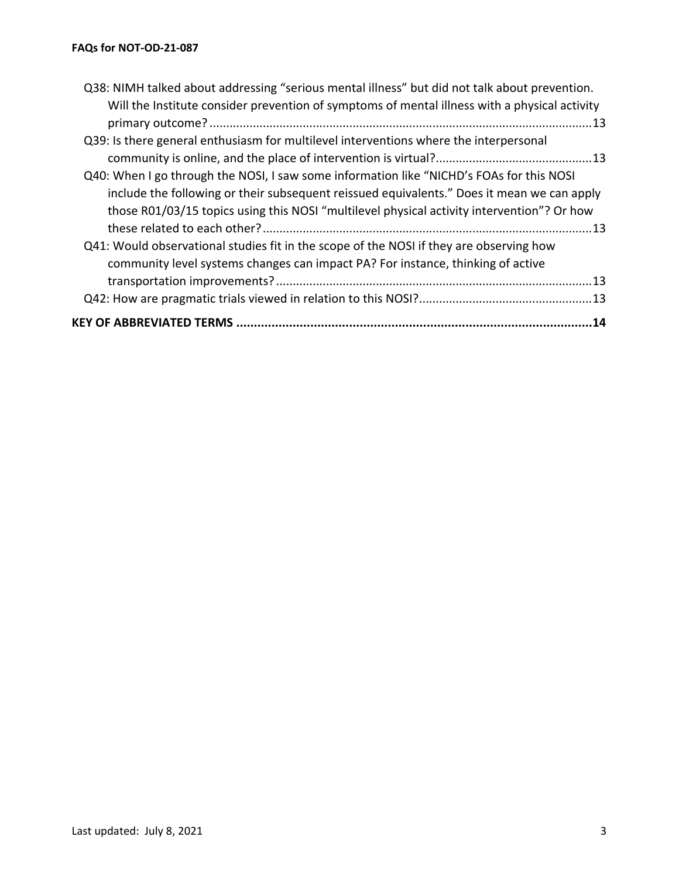| Q38: NIMH talked about addressing "serious mental illness" but did not talk about prevention. |  |
|-----------------------------------------------------------------------------------------------|--|
| Will the Institute consider prevention of symptoms of mental illness with a physical activity |  |
|                                                                                               |  |
| Q39: Is there general enthusiasm for multilevel interventions where the interpersonal         |  |
|                                                                                               |  |
| Q40: When I go through the NOSI, I saw some information like "NICHD's FOAs for this NOSI      |  |
| include the following or their subsequent reissued equivalents." Does it mean we can apply    |  |
| those R01/03/15 topics using this NOSI "multilevel physical activity intervention"? Or how    |  |
|                                                                                               |  |
| Q41: Would observational studies fit in the scope of the NOSI if they are observing how       |  |
| community level systems changes can impact PA? For instance, thinking of active               |  |
|                                                                                               |  |
|                                                                                               |  |
| KEY OF ABBREVIATED TERMS ……………………………………………………………………………………………14                                |  |
|                                                                                               |  |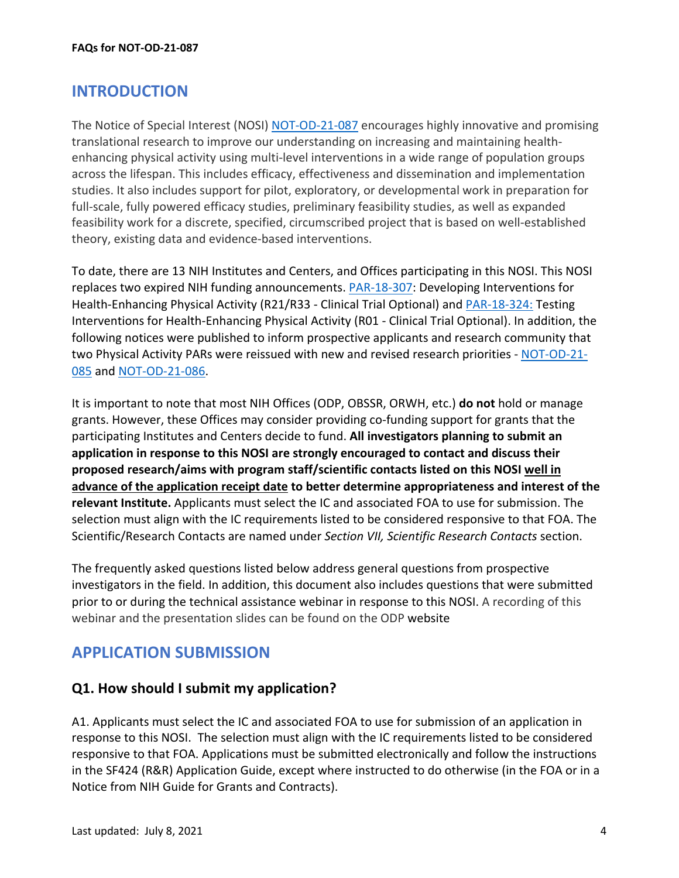# <span id="page-3-0"></span>**INTRODUCTION**

The Notice of Special Interest (NOSI) [NOT-OD-21-087](https://grants.nih.gov/grants/guide/notice-files/NOT-OD-21-087.html) encourages highly innovative and promising translational research to improve our understanding on increasing and maintaining healthenhancing physical activity using multi-level interventions in a wide range of population groups across the lifespan. This includes efficacy, effectiveness and dissemination and implementation studies. It also includes support for pilot, exploratory, or developmental work in preparation for full-scale, fully powered efficacy studies, preliminary feasibility studies, as well as expanded feasibility work for a discrete, specified, circumscribed project that is based on well-established theory, existing data and evidence-based interventions.

To date, there are 13 NIH Institutes and Centers, and Offices participating in this NOSI. This NOSI replaces two expired NIH funding announcements. [PAR-18-307:](https://grants.nih.gov/grants/guide/pa-files/PAR-18-307.html) Developing Interventions for Health-Enhancing Physical Activity (R21/R33 - Clinical Trial Optional) and [PAR-18-324:](https://grants.nih.gov/grants/guide/pa-files/par-18-324.html) Testing Interventions for Health-Enhancing Physical Activity (R01 - Clinical Trial Optional). In addition, the following notices were published to inform prospective applicants and research community that two Physical Activity PARs were reissued with new and revised research priorities - [NOT-OD-21-](https://grants.nih.gov/grants/guide/notice-files/NOT-OD-21-085.html) [085](https://grants.nih.gov/grants/guide/notice-files/NOT-OD-21-085.html) and [NOT-OD-21-086.](https://grants.nih.gov/grants/guide/notice-files/NOT-OD-21-086.html)

<span id="page-3-3"></span>It is important to note that most NIH Offices (ODP, OBSSR, ORWH, etc.) **do not** hold or manage grants. However, these Offices may consider providing co-funding support for grants that the participating Institutes and Centers decide to fund. **All investigators planning to submit an application in response to this NOSI are strongly encouraged to contact and discuss their proposed research/aims with program staff/scientific contacts listed on this NOSI well in advance of the application receipt date to better determine appropriateness and interest of the relevant Institute.** Applicants must select the IC and associated FOA to use for submission. The selection must align with the IC requirements listed to be considered responsive to that FOA. The Scientific/Research Contacts are named under *Section VII, Scientific Research Contacts* section.

The frequently asked questions listed below address general questions from prospective investigators in the field. In addition, this document also includes questions that were submitted prior to or during the technical assistance webinar in response to this NOSI. A recording of this webinar and the presentation slides can be found on the ODP website

# <span id="page-3-1"></span>**APPLICATION SUBMISSION**

#### <span id="page-3-2"></span>**Q1. How should I submit my application?**

A1. Applicants must select the IC and associated FOA to use for submission of an application in response to this NOSI. The selection must align with the IC requirements listed to be considered responsive to that FOA. Applications must be submitted electronically and follow the instructions in the SF424 (R&R) Application Guide, except where instructed to do otherwise (in the FOA or in a Notice from NIH Guide for Grants and Contracts).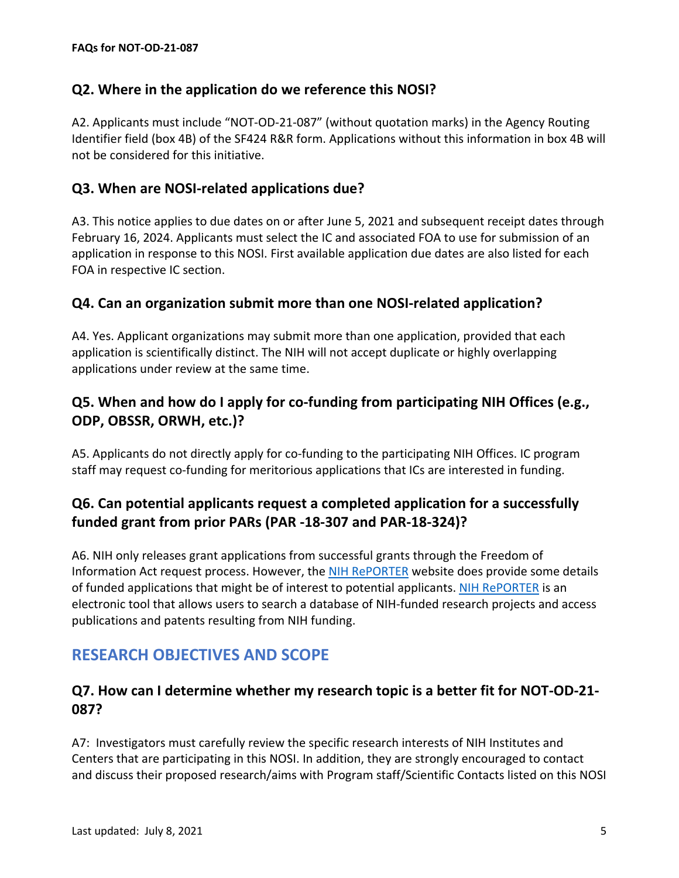#### <span id="page-4-0"></span>**Q2. Where in the application do we reference this NOSI?**

A2. Applicants must include "NOT-OD-21-087" (without quotation marks) in the Agency Routing Identifier field (box 4B) of the SF424 R&R form. Applications without this information in box 4B will not be considered for this initiative.

#### <span id="page-4-1"></span>**Q3. When are NOSI-related applications due?**

A3. This notice applies to due dates on or after June 5, 2021 and subsequent receipt dates through February 16, 2024. Applicants must select the IC and associated FOA to use for submission of an application in response to this NOSI. First available application due dates are also listed for each FOA in respective IC section.

#### <span id="page-4-2"></span>**Q4. Can an organization submit more than one NOSI-related application?**

A4. Yes. Applicant organizations may submit more than one application, provided that each application is scientifically distinct. The NIH will not accept duplicate or highly overlapping applications under review at the same time.

### <span id="page-4-3"></span>**Q5. When and how do I apply for co-funding from participating NIH Offices (e.g., ODP, OBSSR, ORWH, etc.)?**

A5. Applicants do not directly apply for co-funding to the participating NIH Offices. IC program staff may request co-funding for meritorious applications that ICs are interested in funding.

### <span id="page-4-4"></span>**Q6. Can potential applicants request a completed application for a successfully funded grant from prior PARs (PAR -18-307 and PAR-18-324)?**

A6. NIH only releases grant applications from successful grants through the Freedom of Information Act request process. However, the [NIH RePORTER](https://projectreporter.nih.gov/reporter.cfm) website does provide some details of funded applications that might be of interest to potential applicants. [NIH RePORTER](https://projectreporter.nih.gov/reporter.cfm) is an electronic tool that allows users to search a database of NIH-funded research projects and access publications and patents resulting from NIH funding.

# <span id="page-4-5"></span>**RESEARCH OBJECTIVES AND SCOPE**

#### <span id="page-4-6"></span>**Q7. How can I determine whether my research topic is a better fit for NOT-OD-21- 087?**

A7: Investigators must carefully review the specific research interests of NIH Institutes and Centers that are participating in this NOSI. In addition, they are strongly encouraged to contact and discuss their proposed research/aims with Program staff/Scientific Contacts listed on this NOSI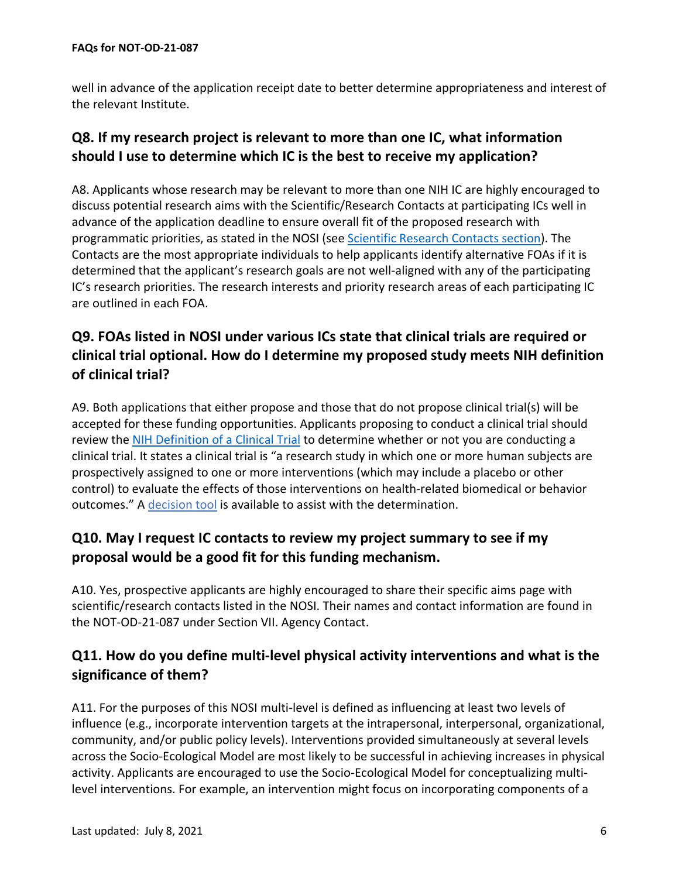well in advance of the application receipt date to better determine appropriateness and interest of the relevant Institute.

# <span id="page-5-0"></span>**Q8. If my research project is relevant to more than one IC, what information should I use to determine which IC is the best to receive my application?**

A8. Applicants whose research may be relevant to more than one NIH IC are highly encouraged to discuss potential research aims with the Scientific/Research Contacts at participating ICs well in advance of the application deadline to ensure overall fit of the proposed research with programmatic priorities, as stated in the NOSI (see [Scientific Research Contacts section\)](https://grants.nih.gov/grants/guide/notice-files/NOT-OD-21-087.html). The Contacts are the most appropriate individuals to help applicants identify alternative FOAs if it is determined that the applicant's research goals are not well-aligned with any of the participating IC's research priorities. The research interests and priority research areas of each participating IC are outlined in each FOA.

# <span id="page-5-1"></span>**Q9. FOAs listed in NOSI under various ICs state that clinical trials are required or clinical trial optional. How do I determine my proposed study meets NIH definition of clinical trial?**

A9. Both applications that either propose and those that do not propose clinical trial(s) will be accepted for these funding opportunities. Applicants proposing to conduct a clinical trial should review the [NIH Definition of a Clinical Trial](https://grants.nih.gov/policy/clinical-trials/definition.htm) to determine whether or not you are conducting a clinical trial. It states a clinical trial is "a research study in which one or more human subjects are prospectively assigned to one or more interventions (which may include a placebo or other control) to evaluate the effects of those interventions on health-related biomedical or behavior outcomes." A [decision tool](https://grants.nih.gov/ct-decision/index.htm) is available to assist with the determination.

# <span id="page-5-2"></span>**Q10. May I request IC contacts to review my project summary to see if my proposal would be a good fit for this funding mechanism.**

A10. Yes, prospective applicants are highly encouraged to share their specific aims page with scientific/research contacts listed in the NOSI. Their names and contact information are found in the NOT-OD-21-087 under Section VII. Agency Contact.

### <span id="page-5-3"></span>**Q11. How do you define multi-level physical activity interventions and what is the significance of them?**

A11. For the purposes of this NOSI multi-level is defined as influencing at least two levels of influence (e.g., incorporate intervention targets at the intrapersonal, interpersonal, organizational, community, and/or public policy levels). Interventions provided simultaneously at several levels across the Socio-Ecological Model are most likely to be successful in achieving increases in physical activity. Applicants are encouraged to use the Socio-Ecological Model for conceptualizing multilevel interventions. For example, an intervention might focus on incorporating components of a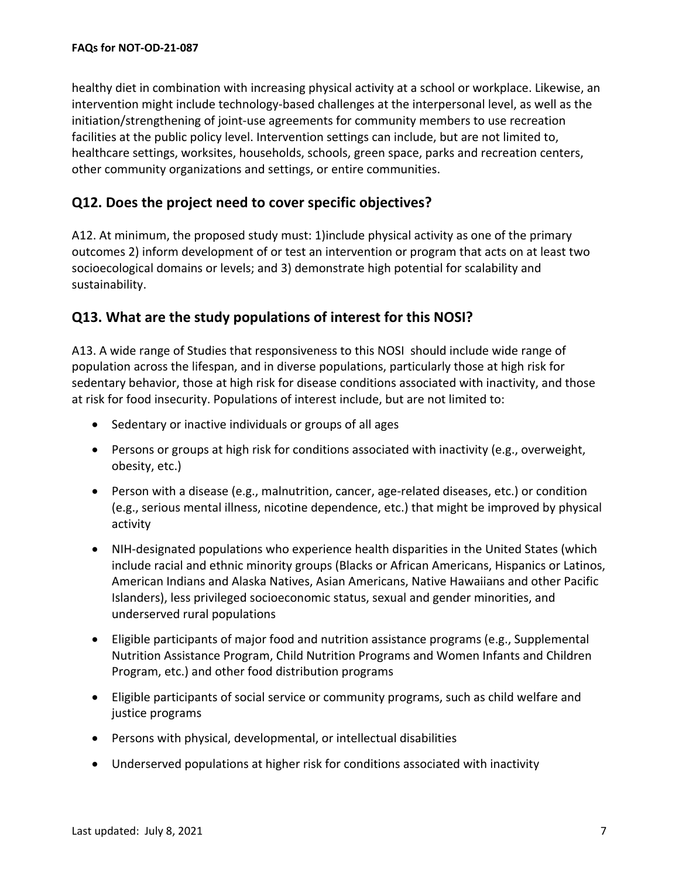healthy diet in combination with increasing physical activity at a school or workplace. Likewise, an intervention might include technology-based challenges at the interpersonal level, as well as the initiation/strengthening of joint-use agreements for community members to use recreation facilities at the public policy level. Intervention settings can include, but are not limited to, healthcare settings, worksites, households, schools, green space, parks and recreation centers, other community organizations and settings, or entire communities.

#### <span id="page-6-0"></span>**Q12. Does the project need to cover specific objectives?**

A12. At minimum, the proposed study must: 1)include physical activity as one of the primary outcomes 2) inform development of or test an intervention or program that acts on at least two socioecological domains or levels; and 3) demonstrate high potential for scalability and sustainability.

#### <span id="page-6-1"></span>**Q13. What are the study populations of interest for this NOSI?**

A13. A wide range of Studies that responsiveness to this NOSI should include wide range of population across the lifespan, and in diverse populations, particularly those at high risk for sedentary behavior, those at high risk for disease conditions associated with inactivity, and those at risk for food insecurity. Populations of interest include, but are not limited to:

- Sedentary or inactive individuals or groups of all ages
- Persons or groups at high risk for conditions associated with inactivity (e.g., overweight, obesity, etc.)
- Person with a disease (e.g., malnutrition, cancer, age-related diseases, etc.) or condition (e.g., serious mental illness, nicotine dependence, etc.) that might be improved by physical activity
- NIH-designated populations who experience health disparities in the United States (which include racial and ethnic minority groups (Blacks or African Americans, Hispanics or Latinos, American Indians and Alaska Natives, Asian Americans, Native Hawaiians and other Pacific Islanders), less privileged socioeconomic status, sexual and gender minorities, and underserved rural populations
- Eligible participants of major food and nutrition assistance programs (e.g., Supplemental Nutrition Assistance Program, Child Nutrition Programs and Women Infants and Children Program, etc.) and other food distribution programs
- Eligible participants of social service or community programs, such as child welfare and justice programs
- Persons with physical, developmental, or intellectual disabilities
- Underserved populations at higher risk for conditions associated with inactivity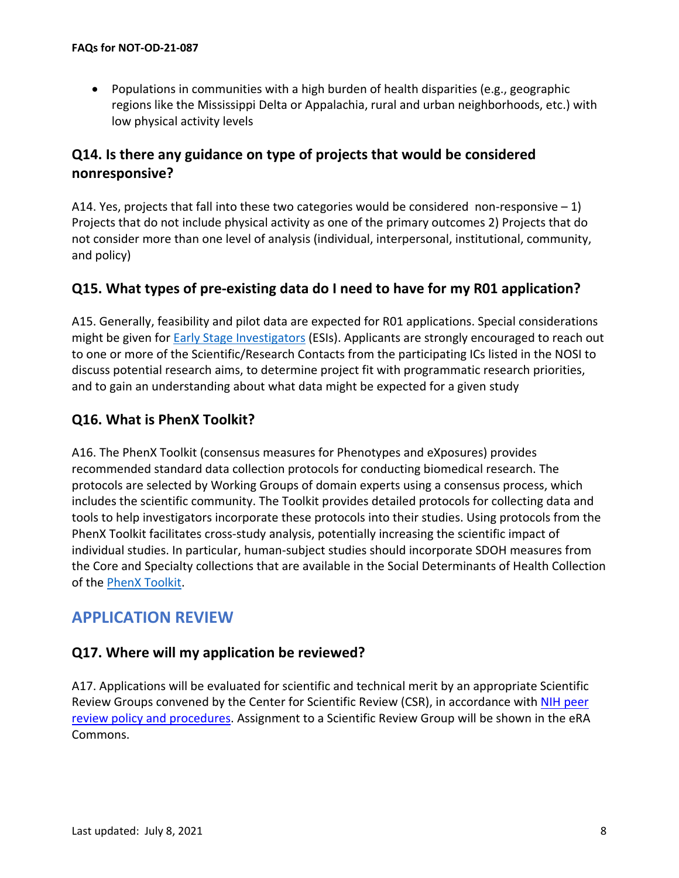• Populations in communities with a high burden of health disparities (e.g., geographic regions like the Mississippi Delta or Appalachia, rural and urban neighborhoods, etc.) with low physical activity levels

### <span id="page-7-0"></span>**Q14. Is there any guidance on type of projects that would be considered nonresponsive?**

A14. Yes, projects that fall into these two categories would be considered non-responsive  $-1$ ) Projects that do not include physical activity as one of the primary outcomes 2) Projects that do not consider more than one level of analysis (individual, interpersonal, institutional, community, and policy)

#### <span id="page-7-1"></span>**Q15. What types of pre-existing data do I need to have for my R01 application?**

A15. Generally, feasibility and pilot data are expected for R01 applications. Special considerations might be given for [Early Stage Investigators](https://grants.nih.gov/policy/early-investigators/index.htm) (ESIs). Applicants are strongly encouraged to reach out to one or more of the Scientific/Research Contacts from the participating ICs listed in the NOSI to discuss potential research aims, to determine project fit with programmatic research priorities, and to gain an understanding about what data might be expected for a given study

#### <span id="page-7-2"></span>**Q16. What is PhenX Toolkit?**

A16. The PhenX Toolkit (consensus measures for Phenotypes and eXposures) provides recommended standard data collection protocols for conducting biomedical research. The protocols are selected by Working Groups of domain experts using a consensus process, which includes the scientific community. The Toolkit provides detailed protocols for collecting data and tools to help investigators incorporate these protocols into their studies. Using protocols from the PhenX Toolkit facilitates cross-study analysis, potentially increasing the scientific impact of individual studies. In particular, human-subject studies should incorporate SDOH measures from the Core and Specialty collections that are available in the Social Determinants of Health Collection of the [PhenX Toolkit.](https://www.phenxtoolkit.org/)

# <span id="page-7-3"></span>**APPLICATION REVIEW**

#### <span id="page-7-4"></span>**Q17. Where will my application be reviewed?**

A17. Applications will be evaluated for scientific and technical merit by an appropriate Scientific Review Groups convened by the Center for Scientific Review (CSR), in accordance with [NIH peer](https://grants.nih.gov/grants/guide/url_redirect.htm?id=11154)  [review policy and procedures.](https://grants.nih.gov/grants/guide/url_redirect.htm?id=11154) Assignment to a Scientific Review Group will be shown in the eRA Commons.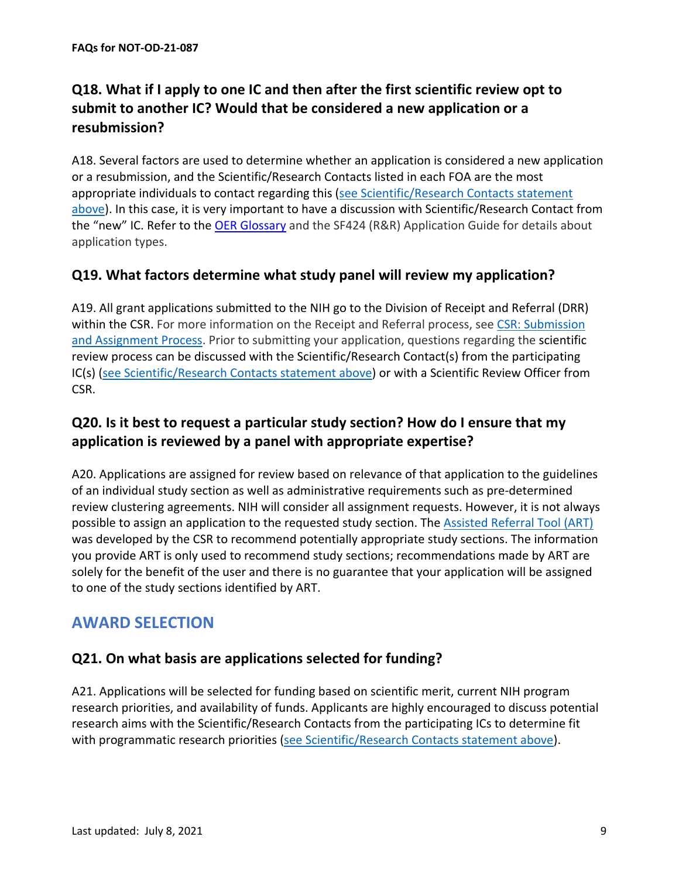# <span id="page-8-0"></span>**Q18. What if I apply to one IC and then after the first scientific review opt to submit to another IC? Would that be considered a new application or a resubmission?**

A18. Several factors are used to determine whether an application is considered a new application or a resubmission, and the Scientific/Research Contacts listed in each FOA are the most appropriate individuals to contact regarding this [\(see Scientific/Research Contacts statement](#page-3-3)  [above\)](#page-3-3). In this case, it is very important to have a discussion with Scientific/Research Contact from the "new" IC. Refer to the [OER Glossary](https://grants.nih.gov/grants/guide/url_redirect.htm?id=11116) and the SF424 (R&R) Application Guide for details about application types.

#### <span id="page-8-1"></span>**Q19. What factors determine what study panel will review my application?**

A19. All grant applications submitted to the NIH go to the Division of Receipt and Referral (DRR) within the CSR. For more information on the Receipt and Referral process, see [CSR: Submission](https://public.csr.nih.gov/ForApplicants/SubmissionAndAssignment)  [and Assignment Process.](https://public.csr.nih.gov/ForApplicants/SubmissionAndAssignment) Prior to submitting your application, questions regarding the scientific review process can be discussed with the Scientific/Research Contact(s) from the participating IC(s) [\(see Scientific/Research Contacts statement above\)](#page-3-3) or with a Scientific Review Officer from CSR.

### <span id="page-8-2"></span>**Q20. Is it best to request a particular study section? How do I ensure that my application is reviewed by a panel with appropriate expertise?**

A20. Applications are assigned for review based on relevance of that application to the guidelines of an individual study section as well as administrative requirements such as pre-determined review clustering agreements. NIH will consider all assignment requests. However, it is not always possible to assign an application to the requested study section. The [Assisted Referral Tool \(ART\)](https://public.csr.nih.gov/ForApplicants/ArtHome) was developed by the CSR to recommend potentially appropriate study sections. The information you provide ART is only used to recommend study sections; recommendations made by ART are solely for the benefit of the user and there is no guarantee that your application will be assigned to one of the study sections identified by ART.

# <span id="page-8-3"></span>**AWARD SELECTION**

#### <span id="page-8-4"></span>**Q21. On what basis are applications selected for funding?**

A21. Applications will be selected for funding based on scientific merit, current NIH program research priorities, and availability of funds. Applicants are highly encouraged to discuss potential research aims with the Scientific/Research Contacts from the participating ICs to determine fit with programmatic research priorities [\(see Scientific/Research Contacts statement above\)](#page-3-3).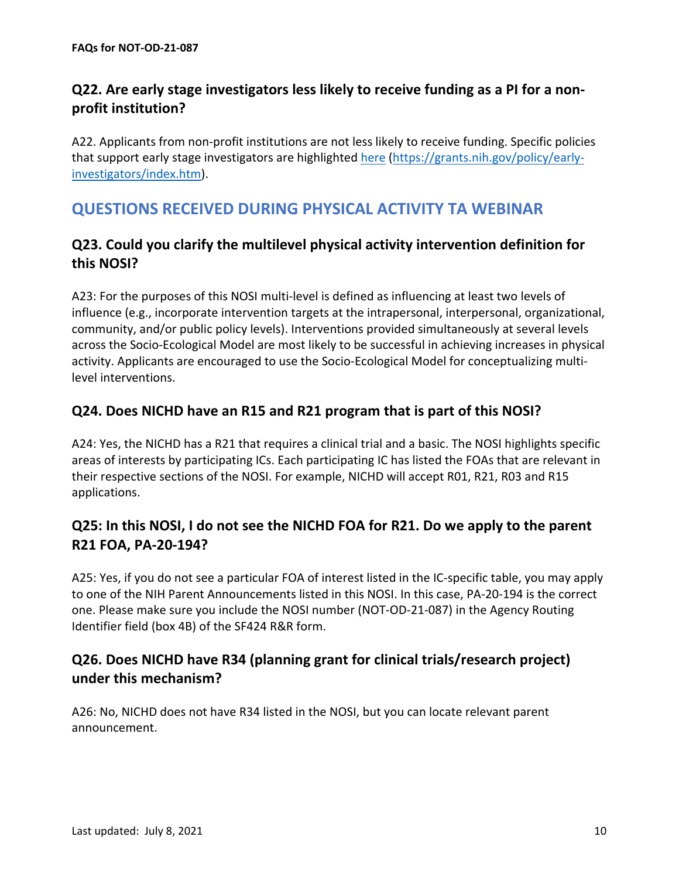# <span id="page-9-0"></span>**Q22. Are early stage investigators less likely to receive funding as a PI for a nonprofit institution?**

A22. Applicants from non-profit institutions are not less likely to receive funding. Specific policies that support early stage investigators are highlighted [here \(https://grants.nih.gov/policy/early](https://grants.nih.gov/policy/early-investigators/index.htm)[investigators/index.htm\)](https://grants.nih.gov/policy/early-investigators/index.htm).

# <span id="page-9-1"></span>**QUESTIONS RECEIVED DURING PHYSICAL ACTIVITY TA WEBINAR**

#### <span id="page-9-2"></span>**Q23. Could you clarify the multilevel physical activity intervention definition for this NOSI?**

A23: For the purposes of this NOSI multi-level is defined as influencing at least two levels of influence (e.g., incorporate intervention targets at the intrapersonal, interpersonal, organizational, community, and/or public policy levels). Interventions provided simultaneously at several levels across the Socio-Ecological Model are most likely to be successful in achieving increases in physical activity. Applicants are encouraged to use the Socio-Ecological Model for conceptualizing multilevel interventions.

#### <span id="page-9-3"></span>**Q24. Does NICHD have an R15 and R21 program that is part of this NOSI?**

A24: Yes, the NICHD has a R21 that requires a clinical trial and a basic. The NOSI highlights specific areas of interests by participating ICs. Each participating IC has listed the FOAs that are relevant in their respective sections of the NOSI. For example, NICHD will accept R01, R21, R03 and R15 applications.

# <span id="page-9-4"></span>**Q25: In this NOSI, I do not see the NICHD FOA for R21. Do we apply to the parent R21 FOA, PA-20-194?**

A25: Yes, if you do not see a particular FOA of interest listed in the IC-specific table, you may apply to one of the NIH Parent Announcements listed in this NOSI. In this case, PA-20-194 is the correct one. Please make sure you include the NOSI number (NOT-OD-21-087) in the Agency Routing Identifier field (box 4B) of the SF424 R&R form.

### <span id="page-9-5"></span>**Q26. Does NICHD have R34 (planning grant for clinical trials/research project) under this mechanism?**

A26: No, NICHD does not have R34 listed in the NOSI, but you can locate relevant parent announcement.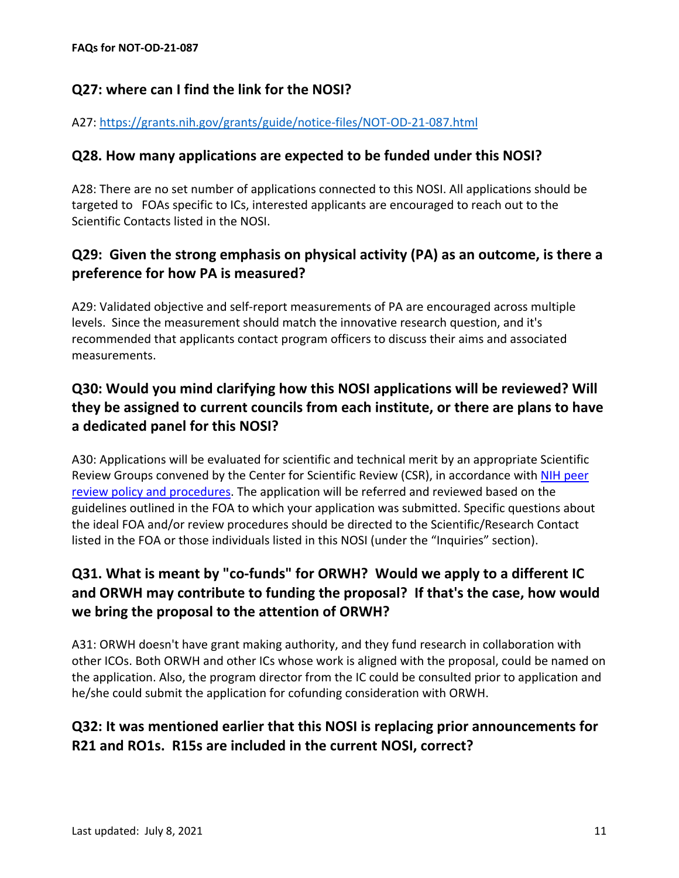#### <span id="page-10-0"></span>**Q27: where can I find the link for the NOSI?**

#### A27:<https://grants.nih.gov/grants/guide/notice-files/NOT-OD-21-087.html>

#### <span id="page-10-1"></span>**Q28. How many applications are expected to be funded under this NOSI?**

A28: There are no set number of applications connected to this NOSI. All applications should be targeted to FOAs specific to ICs, interested applicants are encouraged to reach out to the Scientific Contacts listed in the NOSI.

### <span id="page-10-2"></span>**Q29: Given the strong emphasis on physical activity (PA) as an outcome, is there a preference for how PA is measured?**

A29: Validated objective and self-report measurements of PA are encouraged across multiple levels. Since the measurement should match the innovative research question, and it's recommended that applicants contact program officers to discuss their aims and associated measurements.

# <span id="page-10-3"></span>**Q30: Would you mind clarifying how this NOSI applications will be reviewed? Will they be assigned to current councils from each institute, or there are plans to have a dedicated panel for this NOSI?**

A30: Applications will be evaluated for scientific and technical merit by an appropriate Scientific Review Groups convened by the Center for Scientific Review (CSR), in accordance with NIH peer [review policy and procedures.](https://grants.nih.gov/grants/guide/url_redirect.htm?id=11154) The application will be referred and reviewed based on the guidelines outlined in the FOA to which your application was submitted. Specific questions about the ideal FOA and/or review procedures should be directed to the Scientific/Research Contact listed in the FOA or those individuals listed in this NOSI (under the "Inquiries" section).

# <span id="page-10-4"></span>**Q31. What is meant by "co-funds" for ORWH? Would we apply to a different IC and ORWH may contribute to funding the proposal? If that's the case, how would we bring the proposal to the attention of ORWH?**

A31: ORWH doesn't have grant making authority, and they fund research in collaboration with other ICOs. Both ORWH and other ICs whose work is aligned with the proposal, could be named on the application. Also, the program director from the IC could be consulted prior to application and he/she could submit the application for cofunding consideration with ORWH.

# <span id="page-10-5"></span>**Q32: It was mentioned earlier that this NOSI is replacing prior announcements for R21 and RO1s. R15s are included in the current NOSI, correct?**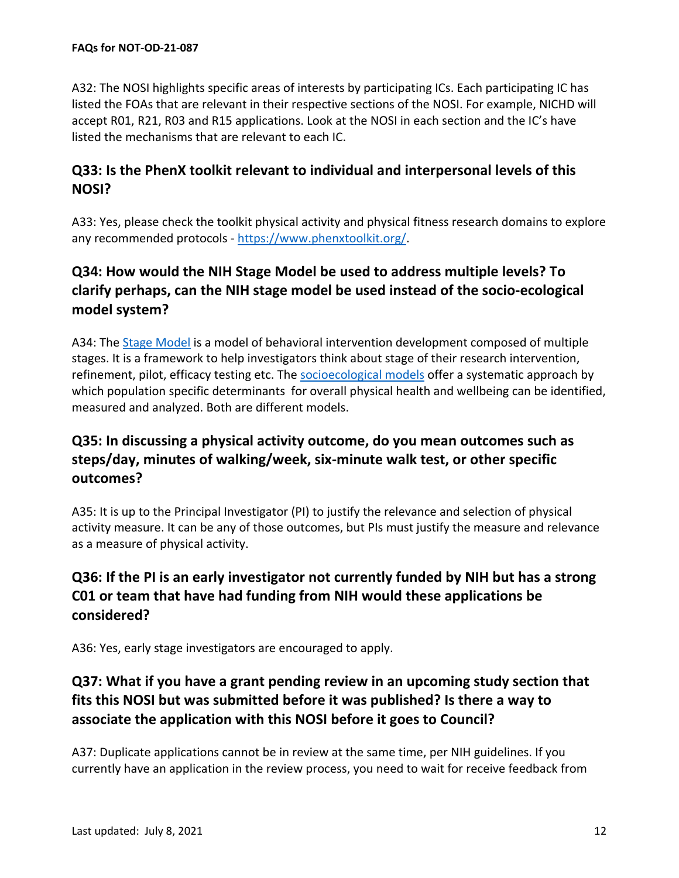A32: The NOSI highlights specific areas of interests by participating ICs. Each participating IC has listed the FOAs that are relevant in their respective sections of the NOSI. For example, NICHD will accept R01, R21, R03 and R15 applications. Look at the NOSI in each section and the IC's have listed the mechanisms that are relevant to each IC.

#### <span id="page-11-0"></span>**Q33: Is the PhenX toolkit relevant to individual and interpersonal levels of this NOSI?**

A33: Yes, please check the toolkit physical activity and physical fitness research domains to explore any recommended protocols - [https://www.phenxtoolkit.org/.](https://www.phenxtoolkit.org/)

# <span id="page-11-1"></span>**Q34: How would the NIH Stage Model be used to address multiple levels? To clarify perhaps, can the NIH stage model be used instead of the socio-ecological model system?**

A34: The [Stage Model](https://www.nia.nih.gov/research/dbsr/nih-stage-model-behavioral-intervention-development) is a model of behavioral intervention development composed of multiple stages. It is a framework to help investigators think about stage of their research intervention, refinement, pilot, efficacy testing etc. The [socioecological models](https://www.nimhd.nih.gov/about/overview/research-framework/nimhd-framework.html) offer a systematic approach by which population specific determinants for overall physical health and wellbeing can be identified, measured and analyzed. Both are different models.

# <span id="page-11-2"></span>**Q35: In discussing a physical activity outcome, do you mean outcomes such as steps/day, minutes of walking/week, six-minute walk test, or other specific outcomes?**

A35: It is up to the Principal Investigator (PI) to justify the relevance and selection of physical activity measure. It can be any of those outcomes, but PIs must justify the measure and relevance as a measure of physical activity.

# <span id="page-11-3"></span>**Q36: If the PI is an early investigator not currently funded by NIH but has a strong C01 or team that have had funding from NIH would these applications be considered?**

A36: Yes, early stage investigators are encouraged to apply.

# <span id="page-11-4"></span>**Q37: What if you have a grant pending review in an upcoming study section that fits this NOSI but was submitted before it was published? Is there a way to associate the application with this NOSI before it goes to Council?**

A37: Duplicate applications cannot be in review at the same time, per NIH guidelines. If you currently have an application in the review process, you need to wait for receive feedback from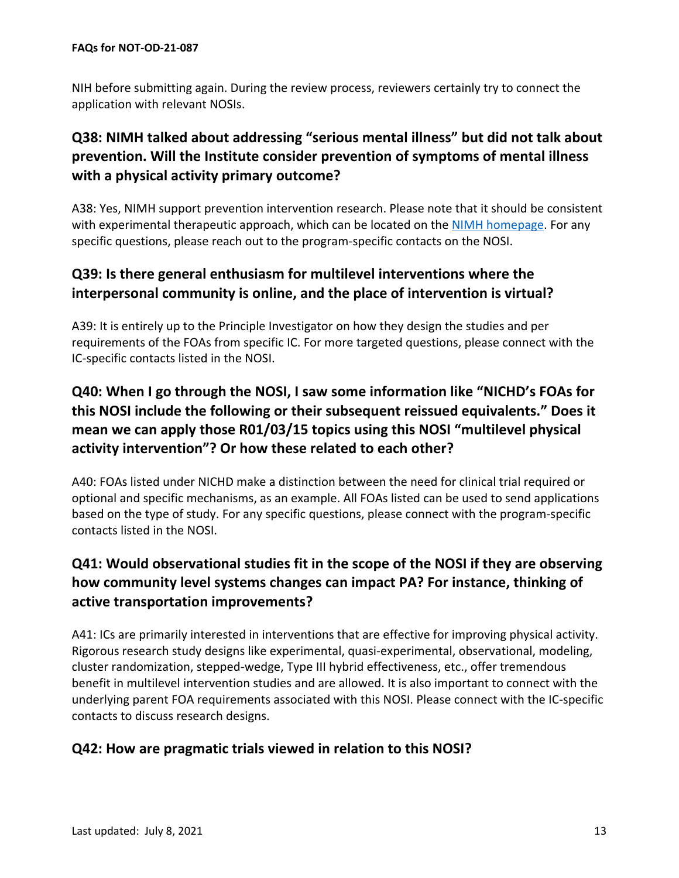NIH before submitting again. During the review process, reviewers certainly try to connect the application with relevant NOSIs.

# <span id="page-12-0"></span>**Q38: NIMH talked about addressing "serious mental illness" but did not talk about prevention. Will the Institute consider prevention of symptoms of mental illness with a physical activity primary outcome?**

A38: Yes, NIMH support prevention intervention research. Please note that it should be consistent with experimental therapeutic approach, which can be located on the [NIMH homepage.](https://www.nimh.nih.gov/) For any specific questions, please reach out to the program-specific contacts on the NOSI.

### <span id="page-12-1"></span>**Q39: Is there general enthusiasm for multilevel interventions where the interpersonal community is online, and the place of intervention is virtual?**

A39: It is entirely up to the Principle Investigator on how they design the studies and per requirements of the FOAs from specific IC. For more targeted questions, please connect with the IC-specific contacts listed in the NOSI.

# <span id="page-12-2"></span>**Q40: When I go through the NOSI, I saw some information like "NICHD's FOAs for this NOSI include the following or their subsequent reissued equivalents." Does it mean we can apply those R01/03/15 topics using this NOSI "multilevel physical activity intervention"? Or how these related to each other?**

A40: FOAs listed under NICHD make a distinction between the need for clinical trial required or optional and specific mechanisms, as an example. All FOAs listed can be used to send applications based on the type of study. For any specific questions, please connect with the program-specific contacts listed in the NOSI.

# <span id="page-12-3"></span>**Q41: Would observational studies fit in the scope of the NOSI if they are observing how community level systems changes can impact PA? For instance, thinking of active transportation improvements?**

A41: ICs are primarily interested in interventions that are effective for improving physical activity. Rigorous research study designs like experimental, quasi-experimental, observational, modeling, cluster randomization, stepped-wedge, Type III hybrid effectiveness, etc., offer tremendous benefit in multilevel intervention studies and are allowed. It is also important to connect with the underlying parent FOA requirements associated with this NOSI. Please connect with the IC-specific contacts to discuss research designs.

#### <span id="page-12-4"></span>**Q42: How are pragmatic trials viewed in relation to this NOSI?**